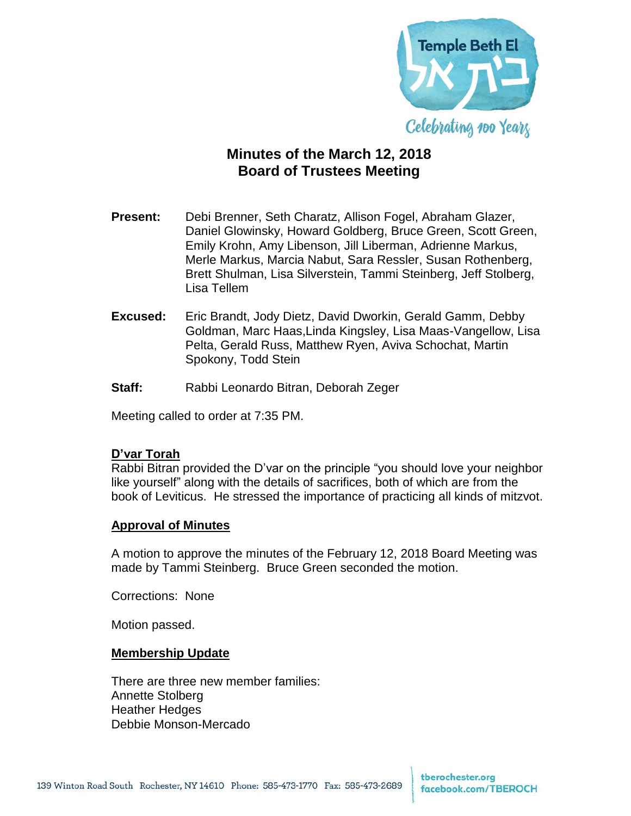

# **Minutes of the March 12, 2018 Board of Trustees Meeting**

- **Present:** Debi Brenner, Seth Charatz, Allison Fogel, Abraham Glazer, Daniel Glowinsky, Howard Goldberg, Bruce Green, Scott Green, Emily Krohn, Amy Libenson, Jill Liberman, Adrienne Markus, Merle Markus, Marcia Nabut, Sara Ressler, Susan Rothenberg, Brett Shulman, Lisa Silverstein, Tammi Steinberg, Jeff Stolberg, Lisa Tellem
- **Excused:** Eric Brandt, Jody Dietz, David Dworkin, Gerald Gamm, Debby Goldman, Marc Haas,Linda Kingsley, Lisa Maas-Vangellow, Lisa Pelta, Gerald Russ, Matthew Ryen, Aviva Schochat, Martin Spokony, Todd Stein
- **Staff:** Rabbi Leonardo Bitran, Deborah Zeger

Meeting called to order at 7:35 PM.

#### **D'var Torah**

Rabbi Bitran provided the D'var on the principle "you should love your neighbor like yourself" along with the details of sacrifices, both of which are from the book of Leviticus. He stressed the importance of practicing all kinds of mitzvot.

#### **Approval of Minutes**

A motion to approve the minutes of the February 12, 2018 Board Meeting was made by Tammi Steinberg. Bruce Green seconded the motion.

Corrections: None

Motion passed.

#### **Membership Update**

There are three new member families: Annette Stolberg Heather Hedges Debbie Monson-Mercado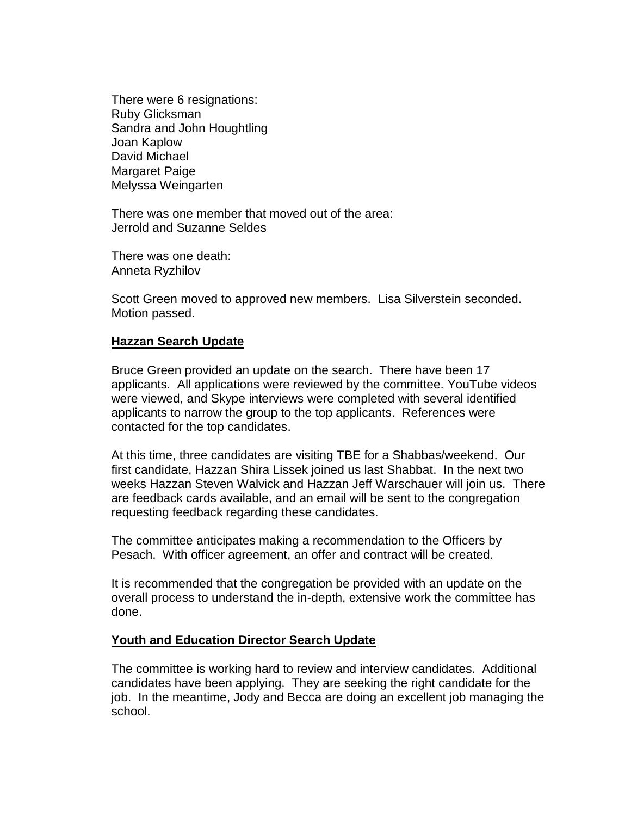There were 6 resignations: Ruby Glicksman Sandra and John Houghtling Joan Kaplow David Michael Margaret Paige Melyssa Weingarten

There was one member that moved out of the area: Jerrold and Suzanne Seldes

There was one death: Anneta Ryzhilov

Scott Green moved to approved new members. Lisa Silverstein seconded. Motion passed.

## **Hazzan Search Update**

Bruce Green provided an update on the search. There have been 17 applicants. All applications were reviewed by the committee. YouTube videos were viewed, and Skype interviews were completed with several identified applicants to narrow the group to the top applicants. References were contacted for the top candidates.

At this time, three candidates are visiting TBE for a Shabbas/weekend. Our first candidate, Hazzan Shira Lissek joined us last Shabbat. In the next two weeks Hazzan Steven Walvick and Hazzan Jeff Warschauer will join us. There are feedback cards available, and an email will be sent to the congregation requesting feedback regarding these candidates.

The committee anticipates making a recommendation to the Officers by Pesach. With officer agreement, an offer and contract will be created.

It is recommended that the congregation be provided with an update on the overall process to understand the in-depth, extensive work the committee has done.

## **Youth and Education Director Search Update**

The committee is working hard to review and interview candidates. Additional candidates have been applying. They are seeking the right candidate for the job. In the meantime, Jody and Becca are doing an excellent job managing the school.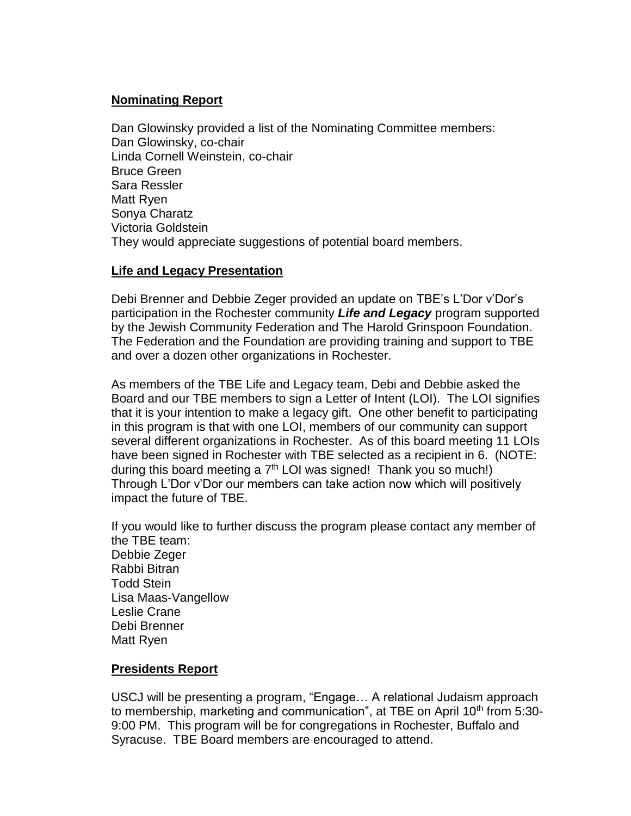## **Nominating Report**

Dan Glowinsky provided a list of the Nominating Committee members: Dan Glowinsky, co-chair Linda Cornell Weinstein, co-chair Bruce Green Sara Ressler Matt Ryen Sonya Charatz Victoria Goldstein They would appreciate suggestions of potential board members.

## **Life and Legacy Presentation**

Debi Brenner and Debbie Zeger provided an update on TBE's L'Dor v'Dor's participation in the Rochester community *Life and Legacy* program supported by the Jewish Community Federation and The Harold Grinspoon Foundation. The Federation and the Foundation are providing training and support to TBE and over a dozen other organizations in Rochester.

As members of the TBE Life and Legacy team, Debi and Debbie asked the Board and our TBE members to sign a Letter of Intent (LOI). The LOI signifies that it is your intention to make a legacy gift. One other benefit to participating in this program is that with one LOI, members of our community can support several different organizations in Rochester. As of this board meeting 11 LOIs have been signed in Rochester with TBE selected as a recipient in 6. (NOTE: during this board meeting a  $7<sup>th</sup>$  LOI was signed! Thank you so much!) Through L'Dor v'Dor our members can take action now which will positively impact the future of TBE.

If you would like to further discuss the program please contact any member of the TBE team: Debbie Zeger Rabbi Bitran Todd Stein Lisa Maas-Vangellow Leslie Crane Debi Brenner Matt Ryen

## **Presidents Report**

USCJ will be presenting a program, "Engage… A relational Judaism approach to membership, marketing and communication", at TBE on April 10<sup>th</sup> from 5:30-9:00 PM. This program will be for congregations in Rochester, Buffalo and Syracuse. TBE Board members are encouraged to attend.